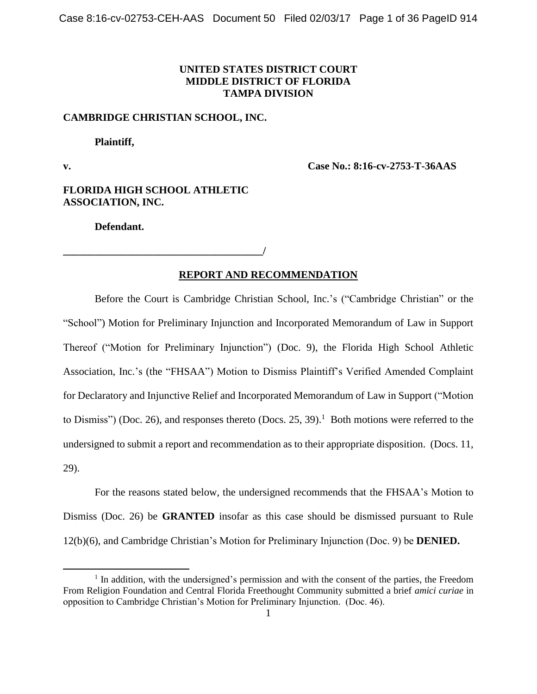## **UNITED STATES DISTRICT COURT MIDDLE DISTRICT OF FLORIDA TAMPA DIVISION**

### **CAMBRIDGE CHRISTIAN SCHOOL, INC.**

**Plaintiff,**

 $\overline{\phantom{a}}$ 

**v. Case No.: 8:16-cv-2753-T-36AAS**

**FLORIDA HIGH SCHOOL ATHLETIC ASSOCIATION, INC.**

**Defendant.**

**\_\_\_\_\_\_\_\_\_\_\_\_\_\_\_\_\_\_\_\_\_\_\_\_\_\_\_\_\_\_\_\_\_\_\_\_\_\_/**

# **REPORT AND RECOMMENDATION**

Before the Court is Cambridge Christian School, Inc.'s ("Cambridge Christian" or the "School") Motion for Preliminary Injunction and Incorporated Memorandum of Law in Support Thereof ("Motion for Preliminary Injunction") (Doc. 9), the Florida High School Athletic Association, Inc.'s (the "FHSAA") Motion to Dismiss Plaintiff's Verified Amended Complaint for Declaratory and Injunctive Relief and Incorporated Memorandum of Law in Support ("Motion to Dismiss") (Doc. 26), and responses thereto (Docs. 25, 39).<sup>1</sup> Both motions were referred to the undersigned to submit a report and recommendation as to their appropriate disposition. (Docs. 11, 29).

For the reasons stated below, the undersigned recommends that the FHSAA's Motion to Dismiss (Doc. 26) be **GRANTED** insofar as this case should be dismissed pursuant to Rule 12(b)(6), and Cambridge Christian's Motion for Preliminary Injunction (Doc. 9) be **DENIED.**

<sup>&</sup>lt;sup>1</sup> In addition, with the undersigned's permission and with the consent of the parties, the Freedom From Religion Foundation and Central Florida Freethought Community submitted a brief *amici curiae* in opposition to Cambridge Christian's Motion for Preliminary Injunction. (Doc. 46).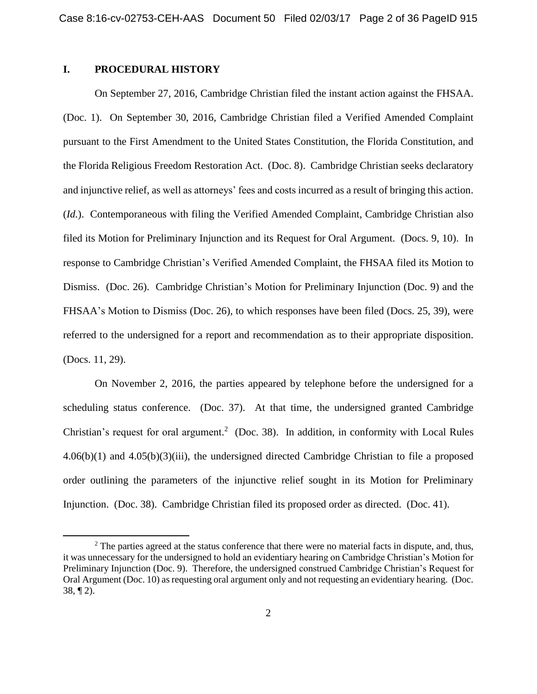## **I. PROCEDURAL HISTORY**

l

On September 27, 2016, Cambridge Christian filed the instant action against the FHSAA. (Doc. 1). On September 30, 2016, Cambridge Christian filed a Verified Amended Complaint pursuant to the First Amendment to the United States Constitution, the Florida Constitution, and the Florida Religious Freedom Restoration Act. (Doc. 8). Cambridge Christian seeks declaratory and injunctive relief, as well as attorneys' fees and costs incurred as a result of bringing this action. (*Id.*). Contemporaneous with filing the Verified Amended Complaint, Cambridge Christian also filed its Motion for Preliminary Injunction and its Request for Oral Argument. (Docs. 9, 10). In response to Cambridge Christian's Verified Amended Complaint, the FHSAA filed its Motion to Dismiss. (Doc. 26). Cambridge Christian's Motion for Preliminary Injunction (Doc. 9) and the FHSAA's Motion to Dismiss (Doc. 26), to which responses have been filed (Docs. 25, 39), were referred to the undersigned for a report and recommendation as to their appropriate disposition. (Docs. 11, 29).

On November 2, 2016, the parties appeared by telephone before the undersigned for a scheduling status conference. (Doc. 37). At that time, the undersigned granted Cambridge Christian's request for oral argument.<sup>2</sup> (Doc. 38). In addition, in conformity with Local Rules 4.06(b)(1) and 4.05(b)(3)(iii), the undersigned directed Cambridge Christian to file a proposed order outlining the parameters of the injunctive relief sought in its Motion for Preliminary Injunction. (Doc. 38). Cambridge Christian filed its proposed order as directed. (Doc. 41).

<sup>&</sup>lt;sup>2</sup> The parties agreed at the status conference that there were no material facts in dispute, and, thus, it was unnecessary for the undersigned to hold an evidentiary hearing on Cambridge Christian's Motion for Preliminary Injunction (Doc. 9). Therefore, the undersigned construed Cambridge Christian's Request for Oral Argument (Doc. 10) as requesting oral argument only and not requesting an evidentiary hearing. (Doc. 38, ¶ 2).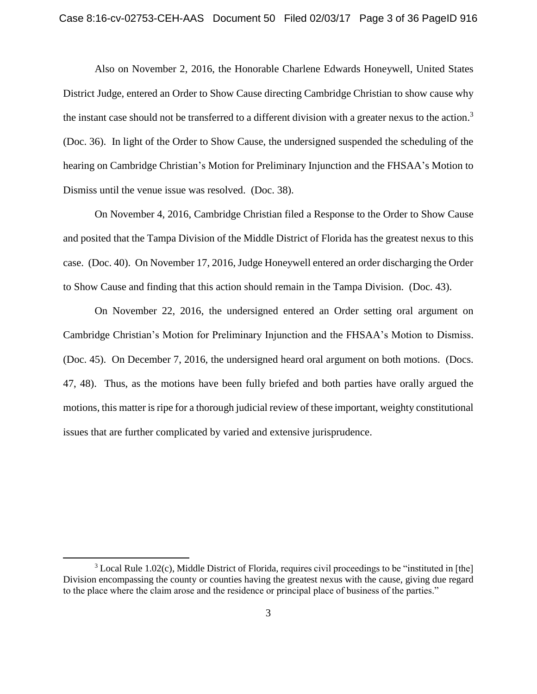Also on November 2, 2016, the Honorable Charlene Edwards Honeywell, United States District Judge, entered an Order to Show Cause directing Cambridge Christian to show cause why the instant case should not be transferred to a different division with a greater nexus to the action.<sup>3</sup> (Doc. 36). In light of the Order to Show Cause, the undersigned suspended the scheduling of the hearing on Cambridge Christian's Motion for Preliminary Injunction and the FHSAA's Motion to Dismiss until the venue issue was resolved. (Doc. 38).

On November 4, 2016, Cambridge Christian filed a Response to the Order to Show Cause and posited that the Tampa Division of the Middle District of Florida has the greatest nexus to this case. (Doc. 40). On November 17, 2016, Judge Honeywell entered an order discharging the Order to Show Cause and finding that this action should remain in the Tampa Division. (Doc. 43).

On November 22, 2016, the undersigned entered an Order setting oral argument on Cambridge Christian's Motion for Preliminary Injunction and the FHSAA's Motion to Dismiss. (Doc. 45). On December 7, 2016, the undersigned heard oral argument on both motions. (Docs. 47, 48). Thus, as the motions have been fully briefed and both parties have orally argued the motions, this matter is ripe for a thorough judicial review of these important, weighty constitutional issues that are further complicated by varied and extensive jurisprudence.

 $\overline{\phantom{a}}$ 

<sup>3</sup> Local Rule 1.02(c), Middle District of Florida, requires civil proceedings to be "instituted in [the] Division encompassing the county or counties having the greatest nexus with the cause, giving due regard to the place where the claim arose and the residence or principal place of business of the parties."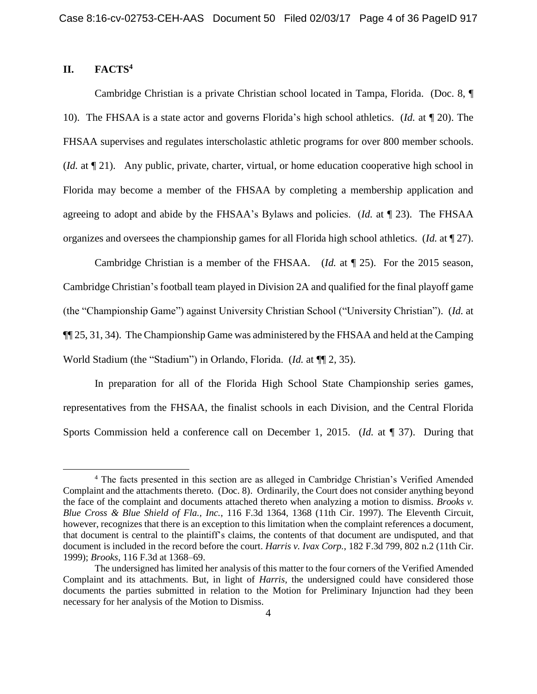# **II. FACTS<sup>4</sup>**

 $\overline{\phantom{a}}$ 

Cambridge Christian is a private Christian school located in Tampa, Florida. (Doc. 8, ¶ 10). The FHSAA is a state actor and governs Florida's high school athletics. (*Id.* at ¶ 20). The FHSAA supervises and regulates interscholastic athletic programs for over 800 member schools. (*Id.* at ¶ 21). Any public, private, charter, virtual, or home education cooperative high school in Florida may become a member of the FHSAA by completing a membership application and agreeing to adopt and abide by the FHSAA's Bylaws and policies. (*Id.* at ¶ 23). The FHSAA organizes and oversees the championship games for all Florida high school athletics. (*Id.* at ¶ 27).

Cambridge Christian is a member of the FHSAA. (*Id.* at ¶ 25). For the 2015 season, Cambridge Christian's football team played in Division 2A and qualified for the final playoff game (the "Championship Game") against University Christian School ("University Christian"). (*Id.* at ¶¶ 25, 31, 34). The Championship Game was administered by the FHSAA and held at the Camping World Stadium (the "Stadium") in Orlando, Florida. (*Id.* at ¶¶ 2, 35).

In preparation for all of the Florida High School State Championship series games, representatives from the FHSAA, the finalist schools in each Division, and the Central Florida Sports Commission held a conference call on December 1, 2015. (*Id.* at ¶ 37). During that

<sup>4</sup> The facts presented in this section are as alleged in Cambridge Christian's Verified Amended Complaint and the attachments thereto. (Doc. 8). Ordinarily, the Court does not consider anything beyond the face of the complaint and documents attached thereto when analyzing a motion to dismiss. *Brooks v. Blue Cross & Blue Shield of Fla., Inc.*, 116 F.3d 1364, 1368 (11th Cir. 1997). The Eleventh Circuit, however, recognizes that there is an exception to this limitation when the complaint references a document, that document is central to the plaintiff's claims, the contents of that document are undisputed, and that document is included in the record before the court. *Harris v. Ivax Corp.*, 182 F.3d 799, 802 n.2 (11th Cir. 1999); *Brooks*, 116 F.3d at 1368–69.

The undersigned has limited her analysis of this matter to the four corners of the Verified Amended Complaint and its attachments. But, in light of *Harris*, the undersigned could have considered those documents the parties submitted in relation to the Motion for Preliminary Injunction had they been necessary for her analysis of the Motion to Dismiss.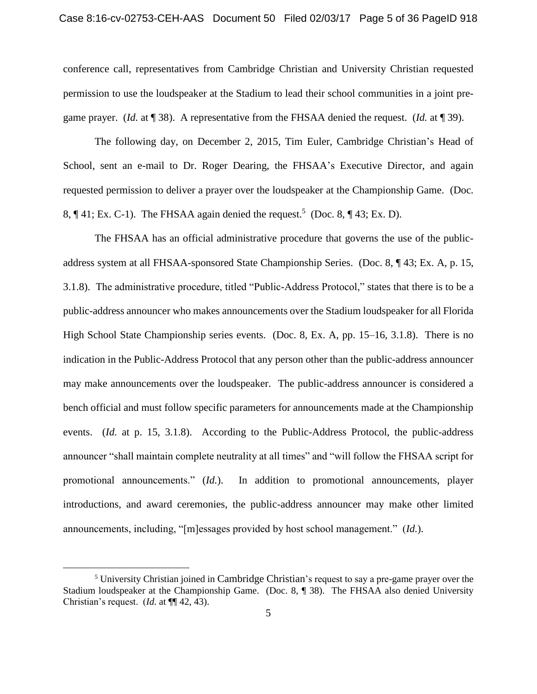conference call, representatives from Cambridge Christian and University Christian requested permission to use the loudspeaker at the Stadium to lead their school communities in a joint pregame prayer. (*Id.* at ¶ 38). A representative from the FHSAA denied the request. (*Id.* at ¶ 39).

The following day, on December 2, 2015, Tim Euler, Cambridge Christian's Head of School, sent an e-mail to Dr. Roger Dearing, the FHSAA's Executive Director, and again requested permission to deliver a prayer over the loudspeaker at the Championship Game. (Doc. 8,  $\P$  41; Ex. C-1). The FHSAA again denied the request.<sup>5</sup> (Doc. 8,  $\P$  43; Ex. D).

The FHSAA has an official administrative procedure that governs the use of the publicaddress system at all FHSAA-sponsored State Championship Series. (Doc. 8, ¶ 43; Ex. A, p. 15, 3.1.8). The administrative procedure, titled "Public-Address Protocol," states that there is to be a public-address announcer who makes announcements over the Stadium loudspeaker for all Florida High School State Championship series events. (Doc. 8, Ex. A, pp. 15–16, 3.1.8). There is no indication in the Public-Address Protocol that any person other than the public-address announcer may make announcements over the loudspeaker. The public-address announcer is considered a bench official and must follow specific parameters for announcements made at the Championship events. (*Id.* at p. 15, 3.1.8). According to the Public-Address Protocol, the public-address announcer "shall maintain complete neutrality at all times" and "will follow the FHSAA script for promotional announcements." (*Id.*). In addition to promotional announcements, player introductions, and award ceremonies, the public-address announcer may make other limited announcements, including, "[m]essages provided by host school management." (*Id.*).

l

<sup>5</sup> University Christian joined in Cambridge Christian's request to say a pre-game prayer over the Stadium loudspeaker at the Championship Game. (Doc. 8, ¶ 38). The FHSAA also denied University Christian's request. (*Id.* at ¶¶ 42, 43).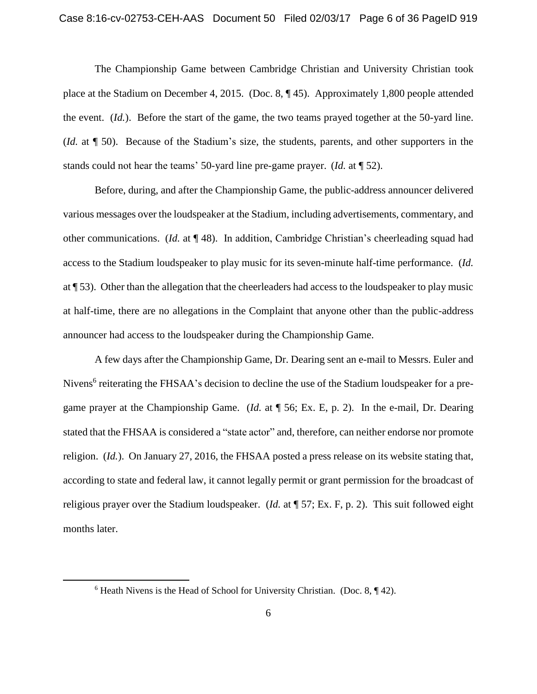The Championship Game between Cambridge Christian and University Christian took place at the Stadium on December 4, 2015. (Doc. 8, ¶ 45). Approximately 1,800 people attended the event. (*Id.*). Before the start of the game, the two teams prayed together at the 50-yard line. (*Id.* at ¶ 50). Because of the Stadium's size, the students, parents, and other supporters in the stands could not hear the teams' 50-yard line pre-game prayer. (*Id.* at ¶ 52).

Before, during, and after the Championship Game, the public-address announcer delivered various messages over the loudspeaker at the Stadium, including advertisements, commentary, and other communications. (*Id.* at ¶ 48). In addition, Cambridge Christian's cheerleading squad had access to the Stadium loudspeaker to play music for its seven-minute half-time performance. (*Id.* at ¶ 53). Other than the allegation that the cheerleaders had access to the loudspeaker to play music at half-time, there are no allegations in the Complaint that anyone other than the public-address announcer had access to the loudspeaker during the Championship Game.

A few days after the Championship Game, Dr. Dearing sent an e-mail to Messrs. Euler and Nivens<sup>6</sup> reiterating the FHSAA's decision to decline the use of the Stadium loudspeaker for a pregame prayer at the Championship Game. (*Id.* at ¶ 56; Ex. E, p. 2). In the e-mail, Dr. Dearing stated that the FHSAA is considered a "state actor" and, therefore, can neither endorse nor promote religion. (*Id.*). On January 27, 2016, the FHSAA posted a press release on its website stating that, according to state and federal law, it cannot legally permit or grant permission for the broadcast of religious prayer over the Stadium loudspeaker. (*Id.* at ¶ 57; Ex. F, p. 2). This suit followed eight months later.

 $\overline{a}$ 

 $6$  Heath Nivens is the Head of School for University Christian. (Doc. 8,  $\P$ 42).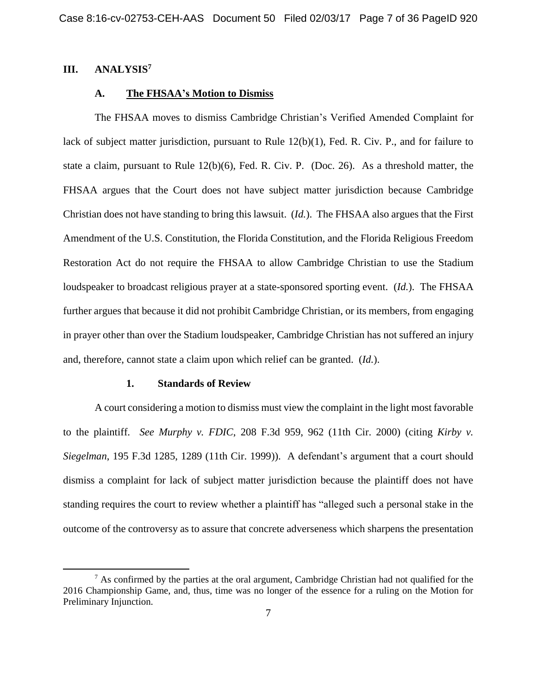## **III. ANALYSIS<sup>7</sup>**

 $\overline{\phantom{a}}$ 

### **A. The FHSAA's Motion to Dismiss**

The FHSAA moves to dismiss Cambridge Christian's Verified Amended Complaint for lack of subject matter jurisdiction, pursuant to Rule 12(b)(1), Fed. R. Civ. P., and for failure to state a claim, pursuant to Rule 12(b)(6), Fed. R. Civ. P. (Doc. 26). As a threshold matter, the FHSAA argues that the Court does not have subject matter jurisdiction because Cambridge Christian does not have standing to bring this lawsuit. (*Id.*). The FHSAA also argues that the First Amendment of the U.S. Constitution, the Florida Constitution, and the Florida Religious Freedom Restoration Act do not require the FHSAA to allow Cambridge Christian to use the Stadium loudspeaker to broadcast religious prayer at a state-sponsored sporting event. (*Id.*). The FHSAA further argues that because it did not prohibit Cambridge Christian, or its members, from engaging in prayer other than over the Stadium loudspeaker, Cambridge Christian has not suffered an injury and, therefore, cannot state a claim upon which relief can be granted. (*Id.*).

#### **1. Standards of Review**

A court considering a motion to dismiss must view the complaint in the light most favorable to the plaintiff. *See Murphy v. FDIC*, 208 F.3d 959, 962 (11th Cir. 2000) (citing *Kirby v. Siegelman*, 195 F.3d 1285, 1289 (11th Cir. 1999)). A defendant's argument that a court should dismiss a complaint for lack of subject matter jurisdiction because the plaintiff does not have standing requires the court to review whether a plaintiff has "alleged such a personal stake in the outcome of the controversy as to assure that concrete adverseness which sharpens the presentation

 $<sup>7</sup>$  As confirmed by the parties at the oral argument, Cambridge Christian had not qualified for the</sup> 2016 Championship Game, and, thus, time was no longer of the essence for a ruling on the Motion for Preliminary Injunction.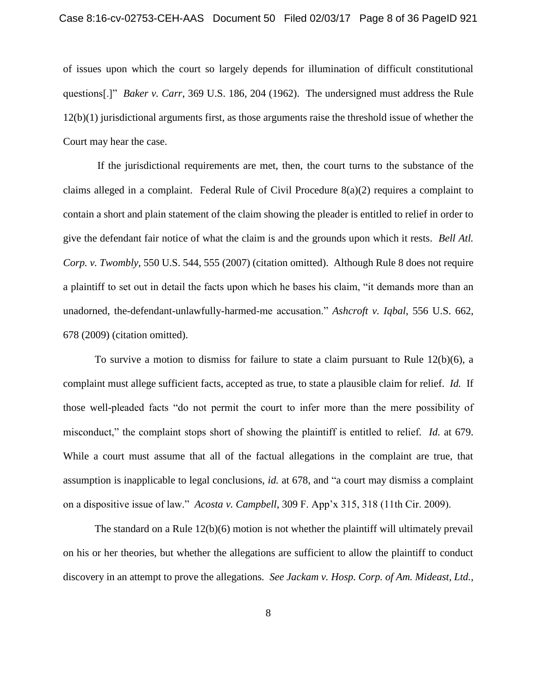of issues upon which the court so largely depends for illumination of difficult constitutional questions[.]" *Baker v. Carr*, 369 U.S. 186, 204 (1962). The undersigned must address the Rule 12(b)(1) jurisdictional arguments first, as those arguments raise the threshold issue of whether the Court may hear the case.

If the jurisdictional requirements are met, then, the court turns to the substance of the claims alleged in a complaint. Federal Rule of Civil Procedure 8(a)(2) requires a complaint to contain a short and plain statement of the claim showing the pleader is entitled to relief in order to give the defendant fair notice of what the claim is and the grounds upon which it rests. *Bell Atl. Corp. v. Twombly*, 550 U.S. 544, 555 (2007) (citation omitted). Although Rule 8 does not require a plaintiff to set out in detail the facts upon which he bases his claim, "it demands more than an unadorned, the-defendant-unlawfully-harmed-me accusation." *Ashcroft v. Iqbal*, 556 U.S. 662, 678 (2009) (citation omitted).

To survive a motion to dismiss for failure to state a claim pursuant to Rule 12(b)(6), a complaint must allege sufficient facts, accepted as true, to state a plausible claim for relief. *Id.* If those well-pleaded facts "do not permit the court to infer more than the mere possibility of misconduct," the complaint stops short of showing the plaintiff is entitled to relief*. Id.* at 679. While a court must assume that all of the factual allegations in the complaint are true, that assumption is inapplicable to legal conclusions, *id.* at 678, and "a court may dismiss a complaint on a dispositive issue of law." *Acosta v. Campbell*, 309 F. App'x 315, 318 (11th Cir. 2009).

The standard on a Rule 12(b)(6) motion is not whether the plaintiff will ultimately prevail on his or her theories, but whether the allegations are sufficient to allow the plaintiff to conduct discovery in an attempt to prove the allegations*. See Jackam v. Hosp. Corp. of Am. Mideast, Ltd.*,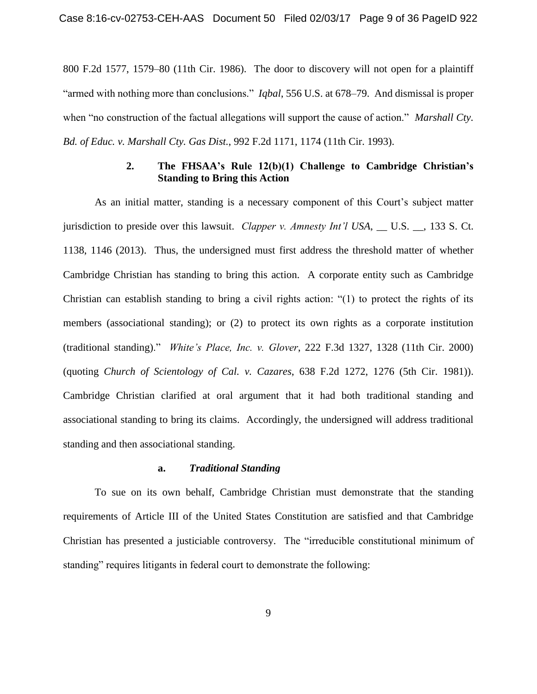800 F.2d 1577, 1579–80 (11th Cir. 1986). The door to discovery will not open for a plaintiff "armed with nothing more than conclusions." *Iqbal*, 556 U.S. at 678–79. And dismissal is proper when "no construction of the factual allegations will support the cause of action." *Marshall Cty. Bd. of Educ. v. Marshall Cty. Gas Dist.*, 992 F.2d 1171, 1174 (11th Cir. 1993).

# **2. The FHSAA's Rule 12(b)(1) Challenge to Cambridge Christian's Standing to Bring this Action**

As an initial matter, standing is a necessary component of this Court's subject matter jurisdiction to preside over this lawsuit. *Clapper v. Amnesty Int'l USA*, \_\_ U.S. \_\_, 133 S. Ct. 1138, 1146 (2013). Thus, the undersigned must first address the threshold matter of whether Cambridge Christian has standing to bring this action. A corporate entity such as Cambridge Christian can establish standing to bring a civil rights action: "(1) to protect the rights of its members (associational standing); or (2) to protect its own rights as a corporate institution (traditional standing)." *White's Place, Inc. v. Glover*, 222 F.3d 1327, 1328 (11th Cir. 2000) (quoting *Church of Scientology of Cal. v. Cazares*, 638 F.2d 1272, 1276 (5th Cir. 1981)). Cambridge Christian clarified at oral argument that it had both traditional standing and associational standing to bring its claims. Accordingly, the undersigned will address traditional standing and then associational standing.

## **a.** *Traditional Standing*

To sue on its own behalf, Cambridge Christian must demonstrate that the standing requirements of Article III of the United States Constitution are satisfied and that Cambridge Christian has presented a justiciable controversy. The "irreducible constitutional minimum of standing" requires litigants in federal court to demonstrate the following: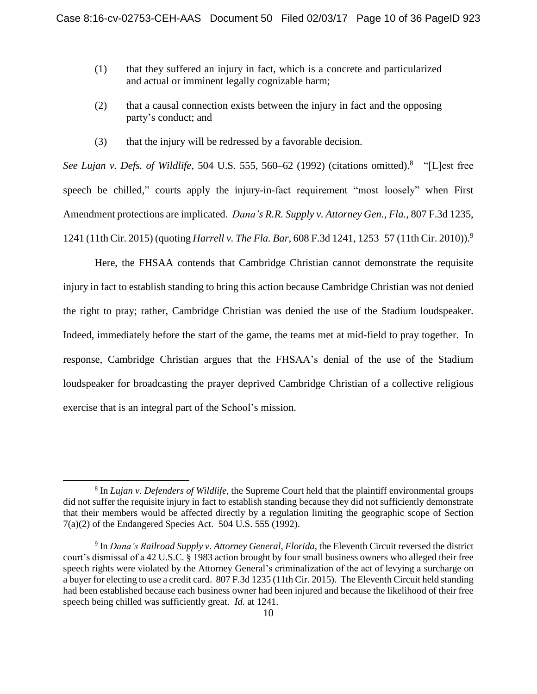- (1) that they suffered an injury in fact, which is a concrete and particularized and actual or imminent legally cognizable harm;
- (2) that a causal connection exists between the injury in fact and the opposing party's conduct; and
- (3) that the injury will be redressed by a favorable decision.

*See Lujan v. Defs. of Wildlife*, 504 U.S. 555, 560–62 (1992) (citations omitted).<sup>8</sup> "[L]est free speech be chilled," courts apply the injury-in-fact requirement "most loosely" when First Amendment protections are implicated. *Dana's R.R. Supply v. Attorney Gen., Fla.*, 807 F.3d 1235, 1241 (11th Cir. 2015) (quoting *Harrell v. The Fla. Bar*, 608 F.3d 1241, 1253–57 (11th Cir. 2010)).<sup>9</sup>

Here, the FHSAA contends that Cambridge Christian cannot demonstrate the requisite injury in fact to establish standing to bring this action because Cambridge Christian was not denied the right to pray; rather, Cambridge Christian was denied the use of the Stadium loudspeaker. Indeed, immediately before the start of the game, the teams met at mid-field to pray together. In response, Cambridge Christian argues that the FHSAA's denial of the use of the Stadium loudspeaker for broadcasting the prayer deprived Cambridge Christian of a collective religious exercise that is an integral part of the School's mission.

 $\overline{\phantom{a}}$ 

<sup>8</sup> In *Lujan v. Defenders of Wildlife*, the Supreme Court held that the plaintiff environmental groups did not suffer the requisite injury in fact to establish standing because they did not sufficiently demonstrate that their members would be affected directly by a regulation limiting the geographic scope of Section 7(a)(2) of the Endangered Species Act. 504 U.S. 555 (1992).

<sup>9</sup> In *Dana's Railroad Supply v. Attorney General, Florida*, the Eleventh Circuit reversed the district court's dismissal of a 42 U.S.C. § 1983 action brought by four small business owners who alleged their free speech rights were violated by the Attorney General's criminalization of the act of levying a surcharge on a buyer for electing to use a credit card. 807 F.3d 1235 (11th Cir. 2015). The Eleventh Circuit held standing had been established because each business owner had been injured and because the likelihood of their free speech being chilled was sufficiently great. *Id.* at 1241.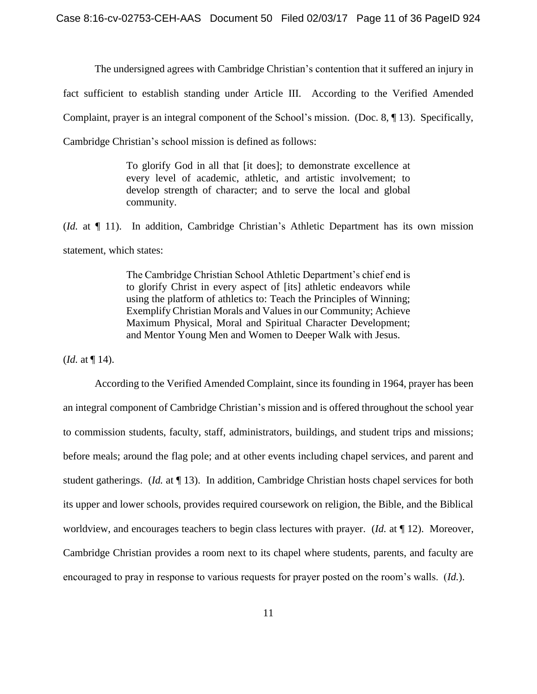The undersigned agrees with Cambridge Christian's contention that it suffered an injury in fact sufficient to establish standing under Article III. According to the Verified Amended Complaint, prayer is an integral component of the School's mission. (Doc. 8, ¶ 13). Specifically, Cambridge Christian's school mission is defined as follows:

> To glorify God in all that [it does]; to demonstrate excellence at every level of academic, athletic, and artistic involvement; to develop strength of character; and to serve the local and global community.

(*Id.* at ¶ 11). In addition, Cambridge Christian's Athletic Department has its own mission statement, which states:

> The Cambridge Christian School Athletic Department's chief end is to glorify Christ in every aspect of [its] athletic endeavors while using the platform of athletics to: Teach the Principles of Winning; Exemplify Christian Morals and Values in our Community; Achieve Maximum Physical, Moral and Spiritual Character Development; and Mentor Young Men and Women to Deeper Walk with Jesus.

(*Id.* at ¶ 14).

According to the Verified Amended Complaint, since its founding in 1964, prayer has been an integral component of Cambridge Christian's mission and is offered throughout the school year to commission students, faculty, staff, administrators, buildings, and student trips and missions; before meals; around the flag pole; and at other events including chapel services, and parent and student gatherings. (*Id.* at ¶ 13). In addition, Cambridge Christian hosts chapel services for both its upper and lower schools, provides required coursework on religion, the Bible, and the Biblical worldview, and encourages teachers to begin class lectures with prayer. (*Id.* at ¶ 12). Moreover, Cambridge Christian provides a room next to its chapel where students, parents, and faculty are encouraged to pray in response to various requests for prayer posted on the room's walls. (*Id.*).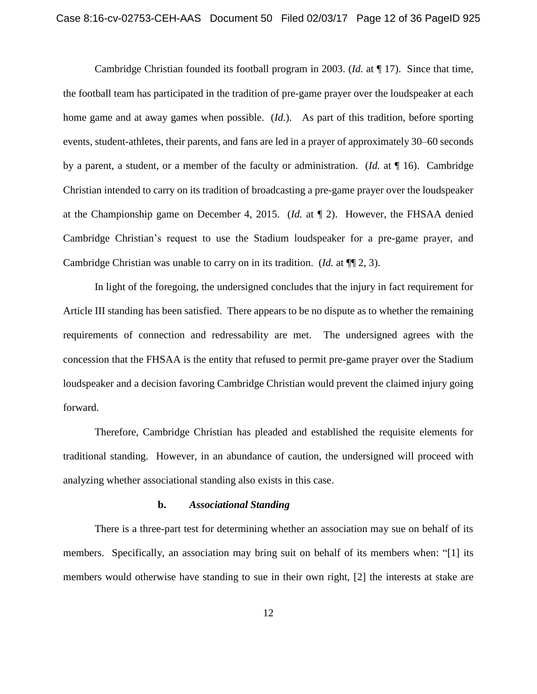Cambridge Christian founded its football program in 2003. (*Id.* at ¶ 17). Since that time, the football team has participated in the tradition of pre-game prayer over the loudspeaker at each home game and at away games when possible. (*Id.*). As part of this tradition, before sporting events, student-athletes, their parents, and fans are led in a prayer of approximately 30–60 seconds by a parent, a student, or a member of the faculty or administration. (*Id.* at ¶ 16). Cambridge Christian intended to carry on its tradition of broadcasting a pre-game prayer over the loudspeaker at the Championship game on December 4, 2015. (*Id.* at ¶ 2). However, the FHSAA denied Cambridge Christian's request to use the Stadium loudspeaker for a pre-game prayer, and Cambridge Christian was unable to carry on in its tradition. (*Id.* at ¶¶ 2, 3).

In light of the foregoing, the undersigned concludes that the injury in fact requirement for Article III standing has been satisfied. There appears to be no dispute as to whether the remaining requirements of connection and redressability are met. The undersigned agrees with the concession that the FHSAA is the entity that refused to permit pre-game prayer over the Stadium loudspeaker and a decision favoring Cambridge Christian would prevent the claimed injury going forward.

Therefore, Cambridge Christian has pleaded and established the requisite elements for traditional standing. However, in an abundance of caution, the undersigned will proceed with analyzing whether associational standing also exists in this case.

#### **b.** *Associational Standing*

There is a three-part test for determining whether an association may sue on behalf of its members. Specifically, an association may bring suit on behalf of its members when: "[1] its members would otherwise have standing to sue in their own right, [2] the interests at stake are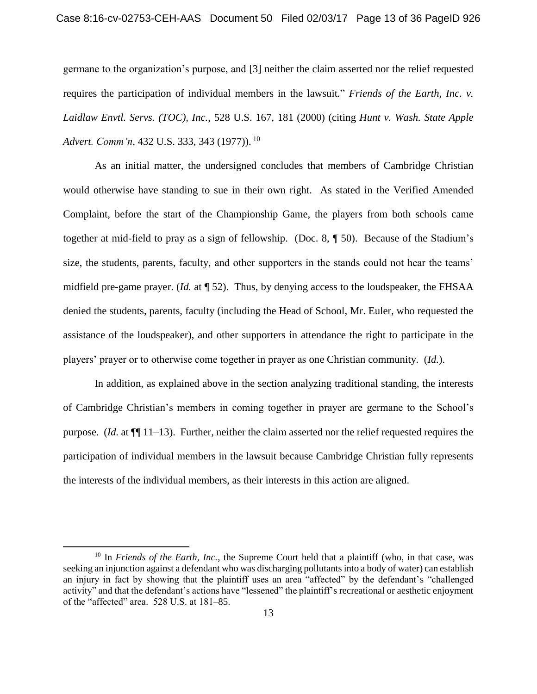germane to the organization's purpose, and [3] neither the claim asserted nor the relief requested requires the participation of individual members in the lawsuit*.*" *Friends of the Earth, Inc. v. Laidlaw Envtl. Servs. (TOC), Inc.*, 528 U.S. 167, 181 (2000) (citing *Hunt v. Wash. State Apple Advert. Comm'n*, 432 U.S. 333, 343 (1977)). <sup>10</sup>

As an initial matter, the undersigned concludes that members of Cambridge Christian would otherwise have standing to sue in their own right. As stated in the Verified Amended Complaint, before the start of the Championship Game, the players from both schools came together at mid-field to pray as a sign of fellowship. (Doc. 8, ¶ 50). Because of the Stadium's size, the students, parents, faculty, and other supporters in the stands could not hear the teams' midfield pre-game prayer. (*Id.* at ¶ 52). Thus, by denying access to the loudspeaker, the FHSAA denied the students, parents, faculty (including the Head of School, Mr. Euler, who requested the assistance of the loudspeaker), and other supporters in attendance the right to participate in the players' prayer or to otherwise come together in prayer as one Christian community. (*Id.*).

In addition, as explained above in the section analyzing traditional standing, the interests of Cambridge Christian's members in coming together in prayer are germane to the School's purpose. (*Id.* at ¶¶ 11–13). Further, neither the claim asserted nor the relief requested requires the participation of individual members in the lawsuit because Cambridge Christian fully represents the interests of the individual members, as their interests in this action are aligned.

 $\overline{a}$ 

<sup>&</sup>lt;sup>10</sup> In *Friends of the Earth, Inc.*, the Supreme Court held that a plaintiff (who, in that case, was seeking an injunction against a defendant who was discharging pollutants into a body of water) can establish an injury in fact by showing that the plaintiff uses an area "affected" by the defendant's "challenged activity" and that the defendant's actions have "lessened" the plaintiff's recreational or aesthetic enjoyment of the "affected" area. 528 U.S. at 181–85.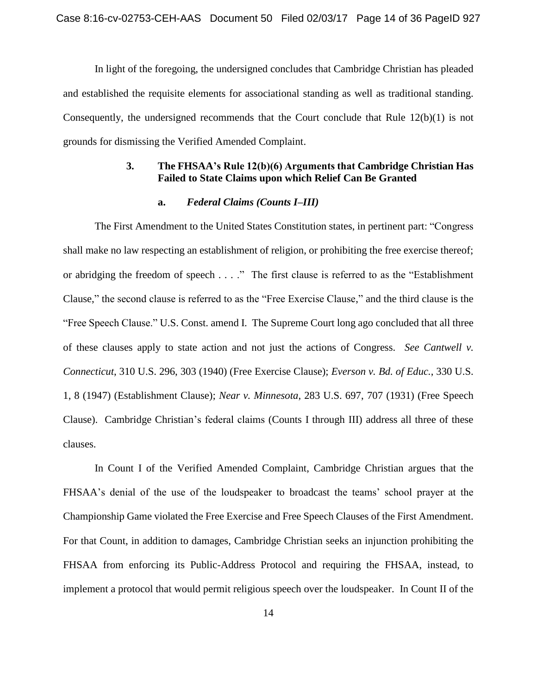In light of the foregoing, the undersigned concludes that Cambridge Christian has pleaded and established the requisite elements for associational standing as well as traditional standing. Consequently, the undersigned recommends that the Court conclude that Rule 12(b)(1) is not grounds for dismissing the Verified Amended Complaint.

## **3. The FHSAA's Rule 12(b)(6) Arguments that Cambridge Christian Has Failed to State Claims upon which Relief Can Be Granted**

## **a.** *Federal Claims (Counts I–III)*

The First Amendment to the United States Constitution states, in pertinent part: "Congress shall make no law respecting an establishment of religion, or prohibiting the free exercise thereof; or abridging the freedom of speech . . . ." The first clause is referred to as the "Establishment Clause," the second clause is referred to as the "Free Exercise Clause," and the third clause is the "Free Speech Clause." U.S. Const. amend I. The Supreme Court long ago concluded that all three of these clauses apply to state action and not just the actions of Congress. *See Cantwell v. Connecticut*, 310 U.S. 296, 303 (1940) (Free Exercise Clause); *Everson v. Bd. of Educ.*, 330 U.S. 1, 8 (1947) (Establishment Clause); *Near v. Minnesota*, 283 U.S. 697, 707 (1931) (Free Speech Clause). Cambridge Christian's federal claims (Counts I through III) address all three of these clauses.

In Count I of the Verified Amended Complaint, Cambridge Christian argues that the FHSAA's denial of the use of the loudspeaker to broadcast the teams' school prayer at the Championship Game violated the Free Exercise and Free Speech Clauses of the First Amendment. For that Count, in addition to damages, Cambridge Christian seeks an injunction prohibiting the FHSAA from enforcing its Public-Address Protocol and requiring the FHSAA, instead, to implement a protocol that would permit religious speech over the loudspeaker. In Count II of the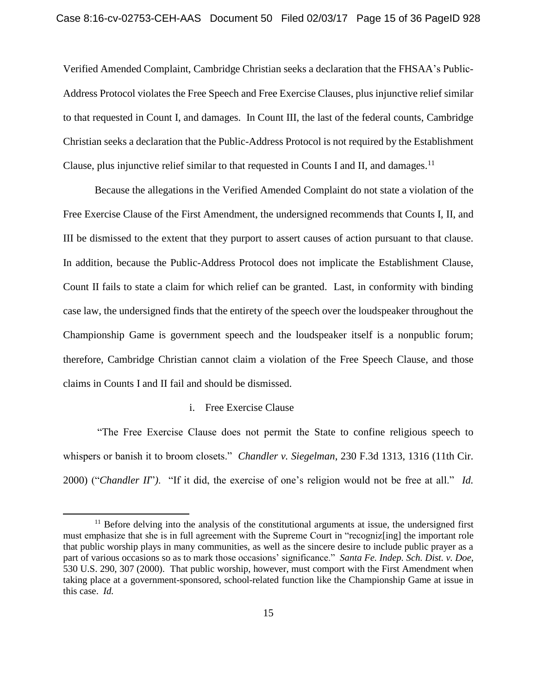Verified Amended Complaint, Cambridge Christian seeks a declaration that the FHSAA's Public-Address Protocol violates the Free Speech and Free Exercise Clauses, plus injunctive relief similar to that requested in Count I, and damages. In Count III, the last of the federal counts, Cambridge Christian seeks a declaration that the Public-Address Protocol is not required by the Establishment Clause, plus injunctive relief similar to that requested in Counts I and II, and damages.<sup>11</sup>

Because the allegations in the Verified Amended Complaint do not state a violation of the Free Exercise Clause of the First Amendment, the undersigned recommends that Counts I, II, and III be dismissed to the extent that they purport to assert causes of action pursuant to that clause. In addition, because the Public-Address Protocol does not implicate the Establishment Clause, Count II fails to state a claim for which relief can be granted. Last, in conformity with binding case law, the undersigned finds that the entirety of the speech over the loudspeaker throughout the Championship Game is government speech and the loudspeaker itself is a nonpublic forum; therefore, Cambridge Christian cannot claim a violation of the Free Speech Clause, and those claims in Counts I and II fail and should be dismissed.

### i. Free Exercise Clause

 $\overline{a}$ 

"The Free Exercise Clause does not permit the State to confine religious speech to whispers or banish it to broom closets." *Chandler v. Siegelman*, 230 F.3d 1313, 1316 (11th Cir. 2000) ("*Chandler II*"*)*. "If it did, the exercise of one's religion would not be free at all." *Id.*

<sup>&</sup>lt;sup>11</sup> Before delving into the analysis of the constitutional arguments at issue, the undersigned first must emphasize that she is in full agreement with the Supreme Court in "recogniz[ing] the important role that public worship plays in many communities, as well as the sincere desire to include public prayer as a part of various occasions so as to mark those occasions' significance." *Santa Fe. Indep. Sch. Dist. v. Doe*, 530 U.S. 290, 307 (2000). That public worship, however, must comport with the First Amendment when taking place at a government-sponsored, school-related function like the Championship Game at issue in this case. *Id.*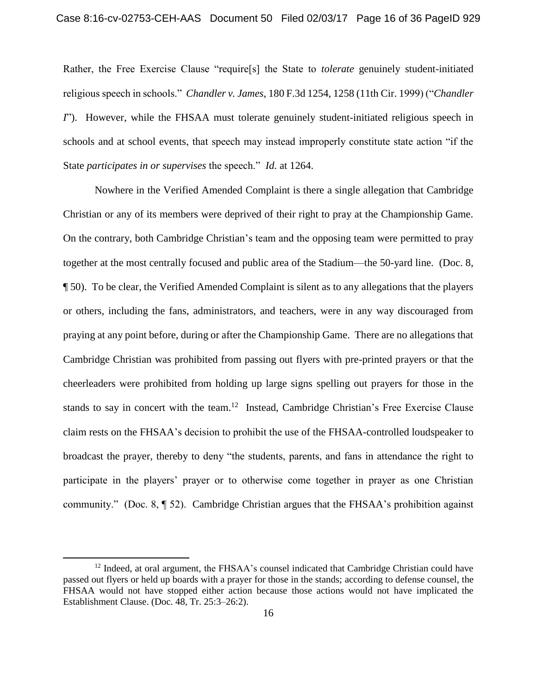Rather, the Free Exercise Clause "require[s] the State to *tolerate* genuinely student-initiated religious speech in schools." *Chandler v. James*, 180 F.3d 1254, 1258 (11th Cir. 1999) ("*Chandler I*"). However, while the FHSAA must tolerate genuinely student-initiated religious speech in schools and at school events, that speech may instead improperly constitute state action "if the State *participates in or supervises* the speech." *Id.* at 1264.

Nowhere in the Verified Amended Complaint is there a single allegation that Cambridge Christian or any of its members were deprived of their right to pray at the Championship Game. On the contrary, both Cambridge Christian's team and the opposing team were permitted to pray together at the most centrally focused and public area of the Stadium—the 50-yard line. (Doc. 8, ¶ 50). To be clear, the Verified Amended Complaint is silent as to any allegations that the players or others, including the fans, administrators, and teachers, were in any way discouraged from praying at any point before, during or after the Championship Game. There are no allegations that Cambridge Christian was prohibited from passing out flyers with pre-printed prayers or that the cheerleaders were prohibited from holding up large signs spelling out prayers for those in the stands to say in concert with the team.<sup>12</sup> Instead, Cambridge Christian's Free Exercise Clause claim rests on the FHSAA's decision to prohibit the use of the FHSAA-controlled loudspeaker to broadcast the prayer, thereby to deny "the students, parents, and fans in attendance the right to participate in the players' prayer or to otherwise come together in prayer as one Christian community." (Doc. 8, ¶ 52). Cambridge Christian argues that the FHSAA's prohibition against

 $\overline{\phantom{a}}$ 

 $12$  Indeed, at oral argument, the FHSAA's counsel indicated that Cambridge Christian could have passed out flyers or held up boards with a prayer for those in the stands; according to defense counsel, the FHSAA would not have stopped either action because those actions would not have implicated the Establishment Clause. (Doc. 48, Tr. 25:3–26:2).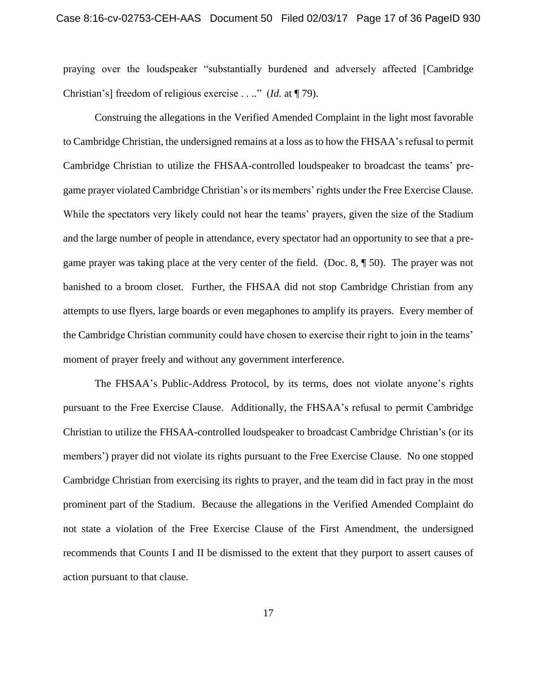praying over the loudspeaker "substantially burdened and adversely affected [Cambridge Christian's] freedom of religious exercise . . .." (*Id.* at ¶ 79).

Construing the allegations in the Verified Amended Complaint in the light most favorable to Cambridge Christian, the undersigned remains at a loss as to how the FHSAA's refusal to permit Cambridge Christian to utilize the FHSAA-controlled loudspeaker to broadcast the teams' pregame prayer violated Cambridge Christian's or its members' rights under the Free Exercise Clause. While the spectators very likely could not hear the teams' prayers, given the size of the Stadium and the large number of people in attendance, every spectator had an opportunity to see that a pregame prayer was taking place at the very center of the field. (Doc. 8, ¶ 50). The prayer was not banished to a broom closet. Further, the FHSAA did not stop Cambridge Christian from any attempts to use flyers, large boards or even megaphones to amplify its prayers. Every member of the Cambridge Christian community could have chosen to exercise their right to join in the teams' moment of prayer freely and without any government interference.

The FHSAA's Public-Address Protocol, by its terms, does not violate anyone's rights pursuant to the Free Exercise Clause. Additionally, the FHSAA's refusal to permit Cambridge Christian to utilize the FHSAA-controlled loudspeaker to broadcast Cambridge Christian's (or its members') prayer did not violate its rights pursuant to the Free Exercise Clause. No one stopped Cambridge Christian from exercising its rights to prayer, and the team did in fact pray in the most prominent part of the Stadium. Because the allegations in the Verified Amended Complaint do not state a violation of the Free Exercise Clause of the First Amendment, the undersigned recommends that Counts I and II be dismissed to the extent that they purport to assert causes of action pursuant to that clause.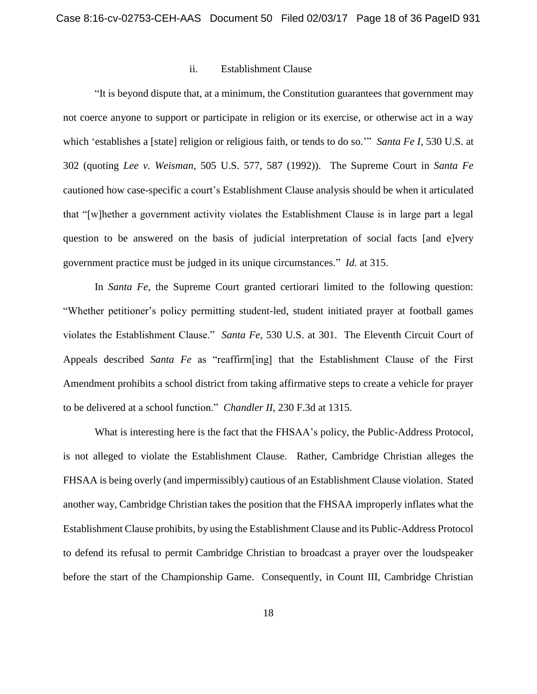#### ii. Establishment Clause

"It is beyond dispute that, at a minimum, the Constitution guarantees that government may not coerce anyone to support or participate in religion or its exercise, or otherwise act in a way which 'establishes a [state] religion or religious faith, or tends to do so.'" *Santa Fe I*, 530 U.S. at 302 (quoting *Lee v. Weisman*, 505 U.S. 577, 587 (1992)). The Supreme Court in *Santa Fe*  cautioned how case-specific a court's Establishment Clause analysis should be when it articulated that "[w]hether a government activity violates the Establishment Clause is in large part a legal question to be answered on the basis of judicial interpretation of social facts [and e]very government practice must be judged in its unique circumstances." *Id.* at 315.

In *Santa Fe*, the Supreme Court granted certiorari limited to the following question: "Whether petitioner's policy permitting student-led, student initiated prayer at football games violates the Establishment Clause." *Santa Fe*, 530 U.S. at 301. The Eleventh Circuit Court of Appeals described *Santa Fe* as "reaffirm[ing] that the Establishment Clause of the First Amendment prohibits a school district from taking affirmative steps to create a vehicle for prayer to be delivered at a school function." *Chandler II*, 230 F.3d at 1315.

What is interesting here is the fact that the FHSAA's policy, the Public-Address Protocol, is not alleged to violate the Establishment Clause. Rather, Cambridge Christian alleges the FHSAA is being overly (and impermissibly) cautious of an Establishment Clause violation. Stated another way, Cambridge Christian takes the position that the FHSAA improperly inflates what the Establishment Clause prohibits, by using the Establishment Clause and its Public-Address Protocol to defend its refusal to permit Cambridge Christian to broadcast a prayer over the loudspeaker before the start of the Championship Game. Consequently, in Count III, Cambridge Christian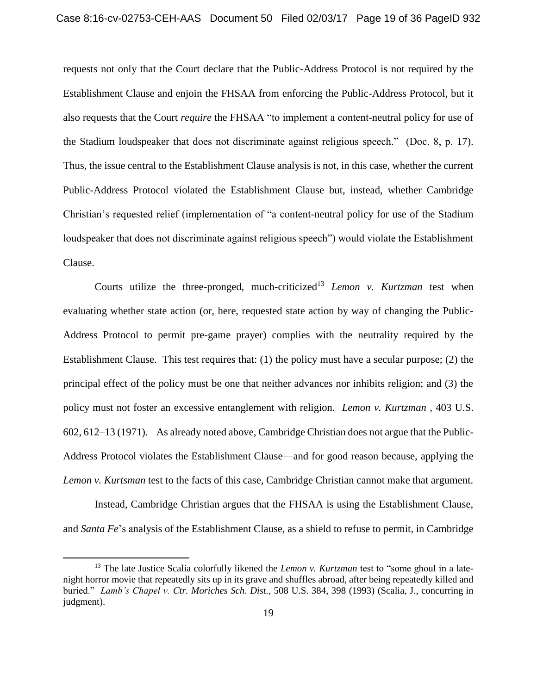requests not only that the Court declare that the Public-Address Protocol is not required by the Establishment Clause and enjoin the FHSAA from enforcing the Public-Address Protocol, but it also requests that the Court *require* the FHSAA "to implement a content-neutral policy for use of the Stadium loudspeaker that does not discriminate against religious speech." (Doc. 8, p. 17). Thus, the issue central to the Establishment Clause analysis is not, in this case, whether the current Public-Address Protocol violated the Establishment Clause but, instead, whether Cambridge Christian's requested relief (implementation of "a content-neutral policy for use of the Stadium loudspeaker that does not discriminate against religious speech") would violate the Establishment Clause.

Courts utilize the three-pronged, much-criticized<sup>13</sup> *Lemon v. Kurtzman* test when evaluating whether state action (or, here, requested state action by way of changing the Public-Address Protocol to permit pre-game prayer) complies with the neutrality required by the Establishment Clause. This test requires that: (1) the policy must have a secular purpose; (2) the principal effect of the policy must be one that neither advances nor inhibits religion; and (3) the policy must not foster an excessive entanglement with religion. *Lemon v. Kurtzman ,* 403 U.S. 602, 612–13 (1971). As already noted above, Cambridge Christian does not argue that the Public-Address Protocol violates the Establishment Clause—and for good reason because, applying the *Lemon v. Kurtsman* test to the facts of this case, Cambridge Christian cannot make that argument.

Instead, Cambridge Christian argues that the FHSAA is using the Establishment Clause, and *Santa Fe*'s analysis of the Establishment Clause, as a shield to refuse to permit, in Cambridge

 $\overline{\phantom{a}}$ 

<sup>13</sup> The late Justice Scalia colorfully likened the *Lemon v. Kurtzman* test to "some ghoul in a latenight horror movie that repeatedly sits up in its grave and shuffles abroad, after being repeatedly killed and buried." *Lamb's Chapel v. Ctr. Moriches Sch. Dist.*, 508 U.S. 384, 398 (1993) (Scalia, J., concurring in judgment).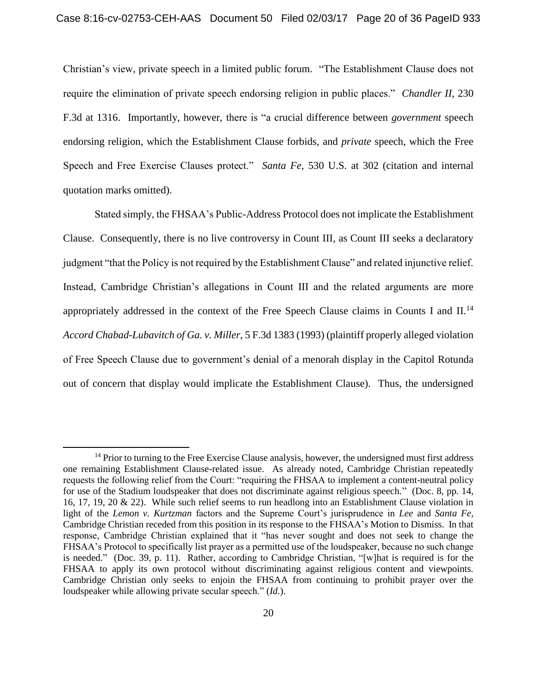Christian's view, private speech in a limited public forum. "The Establishment Clause does not require the elimination of private speech endorsing religion in public places." *Chandler II*, 230 F.3d at 1316. Importantly, however, there is "a crucial difference between *government* speech endorsing religion, which the Establishment Clause forbids, and *private* speech, which the Free Speech and Free Exercise Clauses protect." *Santa Fe*, 530 U.S. at 302 (citation and internal quotation marks omitted).

Stated simply, the FHSAA's Public-Address Protocol does not implicate the Establishment Clause. Consequently, there is no live controversy in Count III, as Count III seeks a declaratory judgment "that the Policy is not required by the Establishment Clause" and related injunctive relief. Instead, Cambridge Christian's allegations in Count III and the related arguments are more appropriately addressed in the context of the Free Speech Clause claims in Counts I and II.<sup>14</sup> *Accord Chabad-Lubavitch of Ga. v. Miller*, 5 F.3d 1383 (1993) (plaintiff properly alleged violation of Free Speech Clause due to government's denial of a menorah display in the Capitol Rotunda out of concern that display would implicate the Establishment Clause). Thus, the undersigned

 $\overline{\phantom{a}}$ 

<sup>&</sup>lt;sup>14</sup> Prior to turning to the Free Exercise Clause analysis, however, the undersigned must first address one remaining Establishment Clause-related issue. As already noted, Cambridge Christian repeatedly requests the following relief from the Court: "requiring the FHSAA to implement a content-neutral policy for use of the Stadium loudspeaker that does not discriminate against religious speech." (Doc. 8, pp. 14, 16, 17, 19, 20 & 22). While such relief seems to run headlong into an Establishment Clause violation in light of the *Lemon v. Kurtzman* factors and the Supreme Court's jurisprudence in *Lee* and *Santa Fe*, Cambridge Christian receded from this position in its response to the FHSAA's Motion to Dismiss. In that response, Cambridge Christian explained that it "has never sought and does not seek to change the FHSAA's Protocol to specifically list prayer as a permitted use of the loudspeaker, because no such change is needed." (Doc. 39, p. 11). Rather, according to Cambridge Christian, "[w]hat is required is for the FHSAA to apply its own protocol without discriminating against religious content and viewpoints. Cambridge Christian only seeks to enjoin the FHSAA from continuing to prohibit prayer over the loudspeaker while allowing private secular speech." (*Id.*).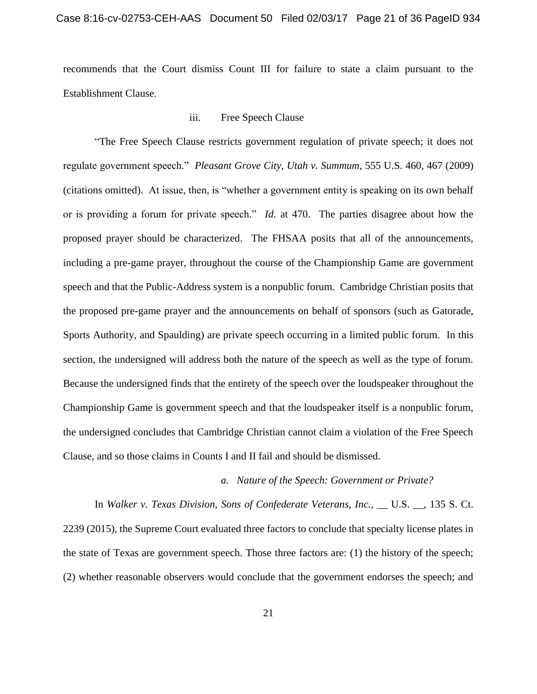recommends that the Court dismiss Count III for failure to state a claim pursuant to the Establishment Clause.

## iii. Free Speech Clause

"The Free Speech Clause restricts government regulation of private speech; it does not regulate government speech." *Pleasant Grove City, Utah v. Summum*, 555 U.S. 460, 467 (2009) (citations omitted). At issue, then, is "whether a government entity is speaking on its own behalf or is providing a forum for private speech." *Id.* at 470. The parties disagree about how the proposed prayer should be characterized. The FHSAA posits that all of the announcements, including a pre-game prayer, throughout the course of the Championship Game are government speech and that the Public-Address system is a nonpublic forum. Cambridge Christian posits that the proposed pre-game prayer and the announcements on behalf of sponsors (such as Gatorade, Sports Authority, and Spaulding) are private speech occurring in a limited public forum. In this section, the undersigned will address both the nature of the speech as well as the type of forum. Because the undersigned finds that the entirety of the speech over the loudspeaker throughout the Championship Game is government speech and that the loudspeaker itself is a nonpublic forum, the undersigned concludes that Cambridge Christian cannot claim a violation of the Free Speech Clause, and so those claims in Counts I and II fail and should be dismissed.

### *a. Nature of the Speech: Government or Private?*

In *Walker v. Texas Division, Sons of Confederate Veterans, Inc.*, \_\_ U.S. \_\_, 135 S. Ct. 2239 (2015), the Supreme Court evaluated three factors to conclude that specialty license plates in the state of Texas are government speech. Those three factors are: (1) the history of the speech; (2) whether reasonable observers would conclude that the government endorses the speech; and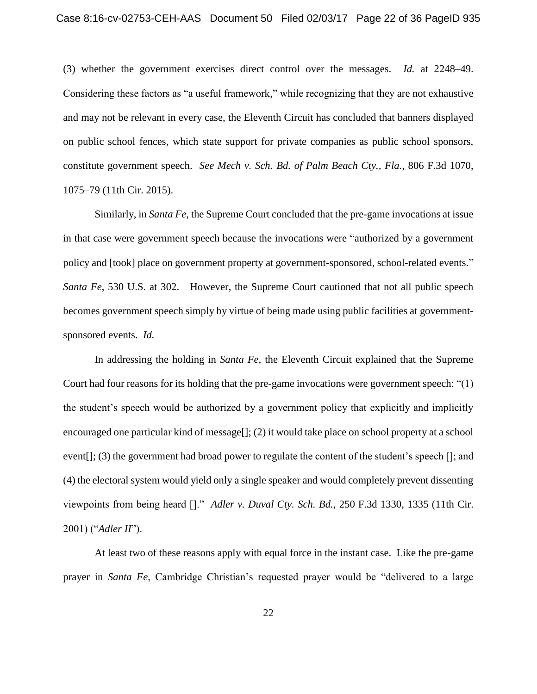(3) whether the government exercises direct control over the messages. *Id.* at 2248–49. Considering these factors as "a useful framework," while recognizing that they are not exhaustive and may not be relevant in every case, the Eleventh Circuit has concluded that banners displayed on public school fences, which state support for private companies as public school sponsors, constitute government speech. *See Mech v. Sch. Bd. of Palm Beach Cty., Fla.*, 806 F.3d 1070, 1075–79 (11th Cir. 2015).

Similarly, in *Santa Fe*, the Supreme Court concluded that the pre-game invocations at issue in that case were government speech because the invocations were "authorized by a government policy and [took] place on government property at government-sponsored, school-related events." *Santa Fe*, 530 U.S. at 302. However, the Supreme Court cautioned that not all public speech becomes government speech simply by virtue of being made using public facilities at governmentsponsored events. *Id.*

In addressing the holding in *Santa Fe*, the Eleventh Circuit explained that the Supreme Court had four reasons for its holding that the pre-game invocations were government speech: "(1) the student's speech would be authorized by a government policy that explicitly and implicitly encouraged one particular kind of message[]; (2) it would take place on school property at a school event[]; (3) the government had broad power to regulate the content of the student's speech []; and (4) the electoral system would yield only a single speaker and would completely prevent dissenting viewpoints from being heard []." *Adler v. Duval Cty. Sch. Bd.*, 250 F.3d 1330, 1335 (11th Cir. 2001) ("*Adler II*").

At least two of these reasons apply with equal force in the instant case. Like the pre-game prayer in *Santa Fe*, Cambridge Christian's requested prayer would be "delivered to a large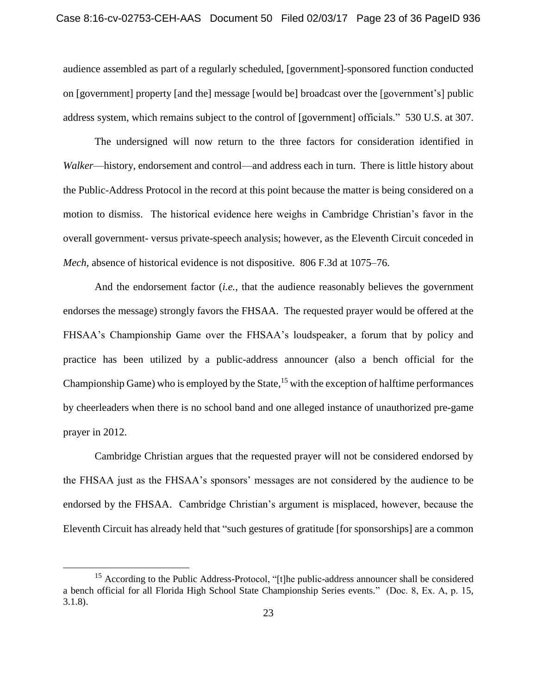audience assembled as part of a regularly scheduled, [government]-sponsored function conducted on [government] property [and the] message [would be] broadcast over the [government's] public address system, which remains subject to the control of [government] officials." 530 U.S. at 307.

The undersigned will now return to the three factors for consideration identified in *Walker*—history, endorsement and control—and address each in turn. There is little history about the Public-Address Protocol in the record at this point because the matter is being considered on a motion to dismiss. The historical evidence here weighs in Cambridge Christian's favor in the overall government- versus private-speech analysis; however, as the Eleventh Circuit conceded in *Mech*, absence of historical evidence is not dispositive. 806 F.3d at 1075–76.

And the endorsement factor (*i.e.*, that the audience reasonably believes the government endorses the message) strongly favors the FHSAA. The requested prayer would be offered at the FHSAA's Championship Game over the FHSAA's loudspeaker, a forum that by policy and practice has been utilized by a public-address announcer (also a bench official for the Championship Game) who is employed by the State,  $15$  with the exception of halftime performances by cheerleaders when there is no school band and one alleged instance of unauthorized pre-game prayer in 2012.

Cambridge Christian argues that the requested prayer will not be considered endorsed by the FHSAA just as the FHSAA's sponsors' messages are not considered by the audience to be endorsed by the FHSAA. Cambridge Christian's argument is misplaced, however, because the Eleventh Circuit has already held that "such gestures of gratitude [for sponsorships] are a common

l

<sup>&</sup>lt;sup>15</sup> According to the Public Address-Protocol, "[t]he public-address announcer shall be considered a bench official for all Florida High School State Championship Series events." (Doc. 8, Ex. A, p. 15, 3.1.8).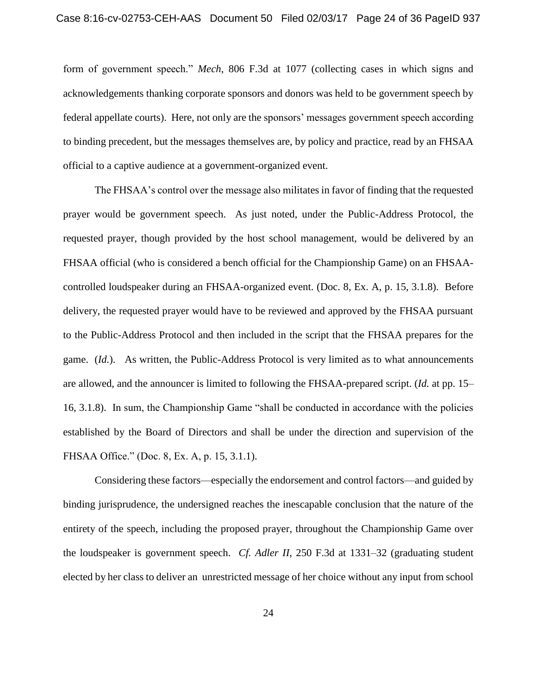form of government speech." *Mech*, 806 F.3d at 1077 (collecting cases in which signs and acknowledgements thanking corporate sponsors and donors was held to be government speech by federal appellate courts). Here, not only are the sponsors' messages government speech according to binding precedent, but the messages themselves are, by policy and practice, read by an FHSAA official to a captive audience at a government-organized event.

The FHSAA's control over the message also militates in favor of finding that the requested prayer would be government speech. As just noted, under the Public-Address Protocol, the requested prayer, though provided by the host school management, would be delivered by an FHSAA official (who is considered a bench official for the Championship Game) on an FHSAAcontrolled loudspeaker during an FHSAA-organized event. (Doc. 8, Ex. A, p. 15, 3.1.8). Before delivery, the requested prayer would have to be reviewed and approved by the FHSAA pursuant to the Public-Address Protocol and then included in the script that the FHSAA prepares for the game. (*Id.*). As written, the Public-Address Protocol is very limited as to what announcements are allowed, and the announcer is limited to following the FHSAA-prepared script. (*Id.* at pp. 15– 16, 3.1.8). In sum, the Championship Game "shall be conducted in accordance with the policies established by the Board of Directors and shall be under the direction and supervision of the FHSAA Office." (Doc. 8, Ex. A, p. 15, 3.1.1).

Considering these factors—especially the endorsement and control factors—and guided by binding jurisprudence, the undersigned reaches the inescapable conclusion that the nature of the entirety of the speech, including the proposed prayer, throughout the Championship Game over the loudspeaker is government speech. *Cf. Adler II*, 250 F.3d at 1331–32 (graduating student elected by her class to deliver an unrestricted message of her choice without any input from school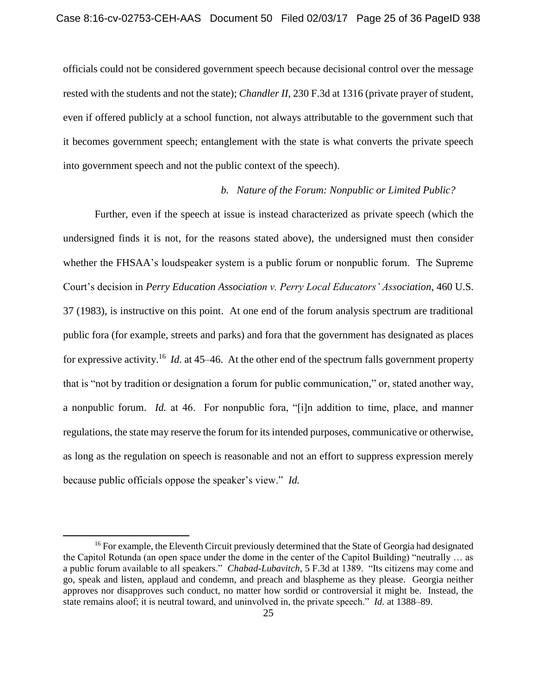officials could not be considered government speech because decisional control over the message rested with the students and not the state); *Chandler II*, 230 F.3d at 1316 (private prayer of student, even if offered publicly at a school function, not always attributable to the government such that it becomes government speech; entanglement with the state is what converts the private speech into government speech and not the public context of the speech).

### *b. Nature of the Forum: Nonpublic or Limited Public?*

Further, even if the speech at issue is instead characterized as private speech (which the undersigned finds it is not, for the reasons stated above), the undersigned must then consider whether the FHSAA's loudspeaker system is a public forum or nonpublic forum. The Supreme Court's decision in *Perry Education Association v. Perry Local Educators' Association*, 460 U.S. 37 (1983), is instructive on this point. At one end of the forum analysis spectrum are traditional public fora (for example, streets and parks) and fora that the government has designated as places for expressive activity.<sup>16</sup> *Id.* at 45–46. At the other end of the spectrum falls government property that is "not by tradition or designation a forum for public communication," or, stated another way, a nonpublic forum. *Id.* at 46. For nonpublic fora, "[i]n addition to time, place, and manner regulations, the state may reserve the forum for its intended purposes, communicative or otherwise, as long as the regulation on speech is reasonable and not an effort to suppress expression merely because public officials oppose the speaker's view." *Id.* 

l

<sup>&</sup>lt;sup>16</sup> For example, the Eleventh Circuit previously determined that the State of Georgia had designated the Capitol Rotunda (an open space under the dome in the center of the Capitol Building) "neutrally … as a public forum available to all speakers." *Chabad-Lubavitch*, 5 F.3d at 1389. "Its citizens may come and go, speak and listen, applaud and condemn, and preach and blaspheme as they please. Georgia neither approves nor disapproves such conduct, no matter how sordid or controversial it might be. Instead, the state remains aloof; it is neutral toward, and uninvolved in, the private speech." *Id.* at 1388–89.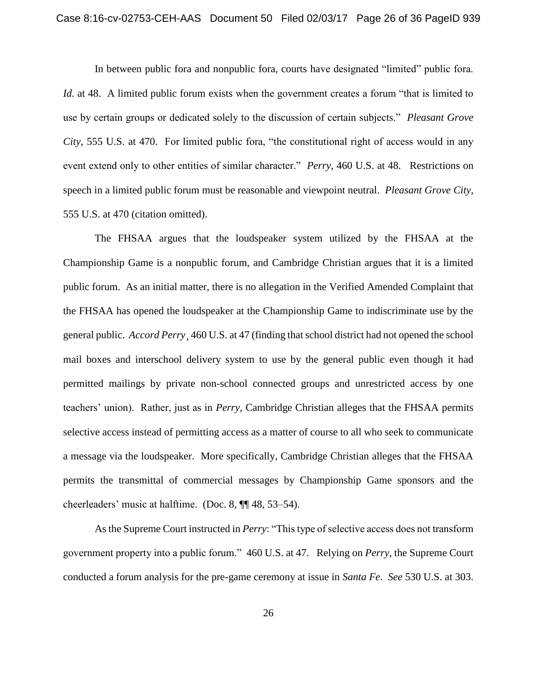In between public fora and nonpublic fora, courts have designated "limited" public fora. *Id.* at 48. A limited public forum exists when the government creates a forum "that is limited to use by certain groups or dedicated solely to the discussion of certain subjects." *Pleasant Grove City*, 555 U.S. at 470. For limited public fora, "the constitutional right of access would in any event extend only to other entities of similar character." *Perry*, 460 U.S. at 48. Restrictions on speech in a limited public forum must be reasonable and viewpoint neutral. *Pleasant Grove City*, 555 U.S. at 470 (citation omitted).

The FHSAA argues that the loudspeaker system utilized by the FHSAA at the Championship Game is a nonpublic forum, and Cambridge Christian argues that it is a limited public forum. As an initial matter, there is no allegation in the Verified Amended Complaint that the FHSAA has opened the loudspeaker at the Championship Game to indiscriminate use by the general public. *Accord Perry*¸ 460 U.S. at 47 (finding that school district had not opened the school mail boxes and interschool delivery system to use by the general public even though it had permitted mailings by private non-school connected groups and unrestricted access by one teachers' union). Rather, just as in *Perry*, Cambridge Christian alleges that the FHSAA permits selective access instead of permitting access as a matter of course to all who seek to communicate a message via the loudspeaker. More specifically, Cambridge Christian alleges that the FHSAA permits the transmittal of commercial messages by Championship Game sponsors and the cheerleaders' music at halftime. (Doc. 8, ¶¶ 48, 53–54).

As the Supreme Court instructed in *Perry*: "This type of selective access does not transform government property into a public forum." 460 U.S. at 47. Relying on *Perry*, the Supreme Court conducted a forum analysis for the pre-game ceremony at issue in *Santa Fe*. *See* 530 U.S. at 303.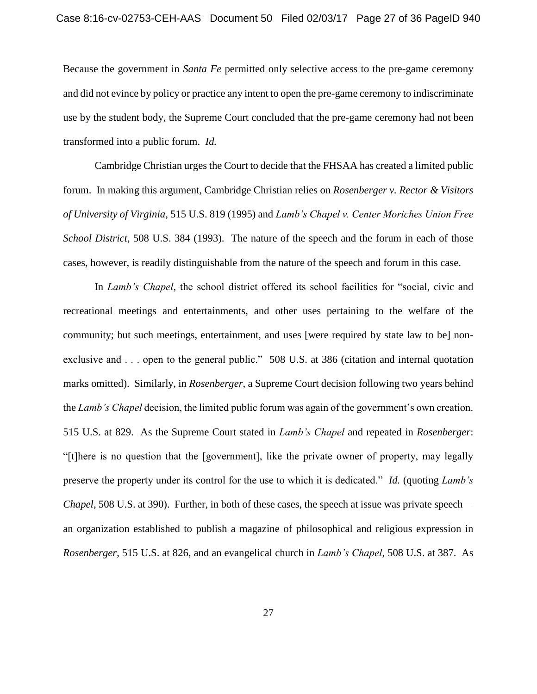Because the government in *Santa Fe* permitted only selective access to the pre-game ceremony and did not evince by policy or practice any intent to open the pre-game ceremony to indiscriminate use by the student body, the Supreme Court concluded that the pre-game ceremony had not been transformed into a public forum. *Id.*

Cambridge Christian urges the Court to decide that the FHSAA has created a limited public forum. In making this argument, Cambridge Christian relies on *Rosenberger v. Rector & Visitors of University of Virginia*, 515 U.S. 819 (1995) and *Lamb's Chapel v. Center Moriches Union Free School District*, 508 U.S. 384 (1993). The nature of the speech and the forum in each of those cases, however, is readily distinguishable from the nature of the speech and forum in this case.

In *Lamb's Chapel*, the school district offered its school facilities for "social, civic and recreational meetings and entertainments, and other uses pertaining to the welfare of the community; but such meetings, entertainment, and uses [were required by state law to be] nonexclusive and . . . open to the general public." 508 U.S. at 386 (citation and internal quotation marks omitted). Similarly, in *Rosenberger*, a Supreme Court decision following two years behind the *Lamb's Chapel* decision, the limited public forum was again of the government's own creation. 515 U.S. at 829. As the Supreme Court stated in *Lamb's Chapel* and repeated in *Rosenberger*: "[t]here is no question that the [government], like the private owner of property, may legally preserve the property under its control for the use to which it is dedicated." *Id.* (quoting *Lamb's Chapel*, 508 U.S. at 390). Further, in both of these cases, the speech at issue was private speech an organization established to publish a magazine of philosophical and religious expression in *Rosenberger*, 515 U.S. at 826, and an evangelical church in *Lamb's Chapel*, 508 U.S. at 387. As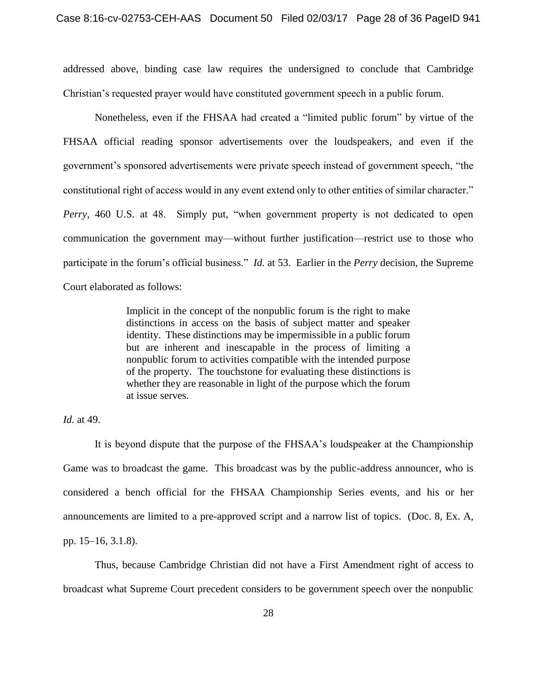addressed above, binding case law requires the undersigned to conclude that Cambridge Christian's requested prayer would have constituted government speech in a public forum.

Nonetheless, even if the FHSAA had created a "limited public forum" by virtue of the FHSAA official reading sponsor advertisements over the loudspeakers, and even if the government's sponsored advertisements were private speech instead of government speech, "the constitutional right of access would in any event extend only to other entities of similar character." *Perry*, 460 U.S. at 48. Simply put, "when government property is not dedicated to open communication the government may—without further justification—restrict use to those who participate in the forum's official business." *Id.* at 53. Earlier in the *Perry* decision, the Supreme Court elaborated as follows:

> Implicit in the concept of the nonpublic forum is the right to make distinctions in access on the basis of subject matter and speaker identity. These distinctions may be impermissible in a public forum but are inherent and inescapable in the process of limiting a nonpublic forum to activities compatible with the intended purpose of the property. The touchstone for evaluating these distinctions is whether they are reasonable in light of the purpose which the forum at issue serves.

## *Id.* at 49.

It is beyond dispute that the purpose of the FHSAA's loudspeaker at the Championship Game was to broadcast the game. This broadcast was by the public-address announcer, who is considered a bench official for the FHSAA Championship Series events, and his or her announcements are limited to a pre-approved script and a narrow list of topics. (Doc. 8, Ex. A, pp. 15–16, 3.1.8).

Thus, because Cambridge Christian did not have a First Amendment right of access to broadcast what Supreme Court precedent considers to be government speech over the nonpublic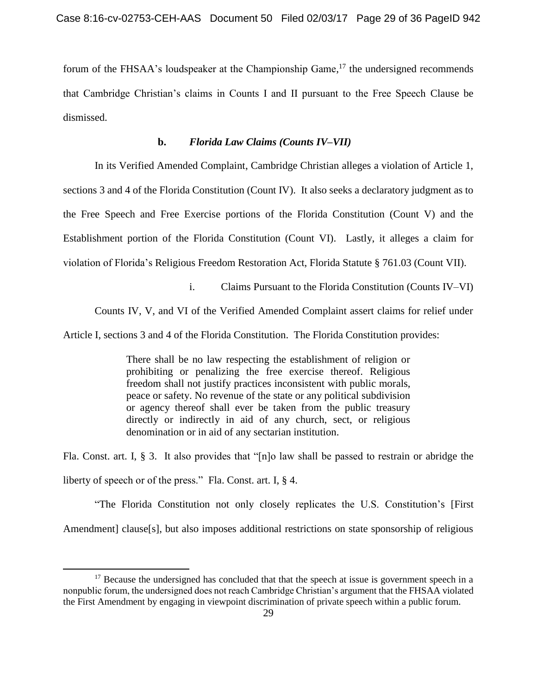forum of the FHSAA's loudspeaker at the Championship Game,<sup>17</sup> the undersigned recommends that Cambridge Christian's claims in Counts I and II pursuant to the Free Speech Clause be dismissed.

## **b.** *Florida Law Claims (Counts IV–VII)*

In its Verified Amended Complaint, Cambridge Christian alleges a violation of Article 1, sections 3 and 4 of the Florida Constitution (Count IV). It also seeks a declaratory judgment as to the Free Speech and Free Exercise portions of the Florida Constitution (Count V) and the Establishment portion of the Florida Constitution (Count VI). Lastly, it alleges a claim for violation of Florida's Religious Freedom Restoration Act, Florida Statute § 761.03 (Count VII).

i. Claims Pursuant to the Florida Constitution (Counts IV–VI)

Counts IV, V, and VI of the Verified Amended Complaint assert claims for relief under

Article I, sections 3 and 4 of the Florida Constitution. The Florida Constitution provides:

There shall be no law respecting the establishment of religion or prohibiting or penalizing the free exercise thereof. Religious freedom shall not justify practices inconsistent with public morals, peace or safety. No revenue of the state or any political subdivision or agency thereof shall ever be taken from the public treasury directly or indirectly in aid of any church, sect, or religious denomination or in aid of any sectarian institution.

Fla. Const. art. I, § 3. It also provides that "[n]o law shall be passed to restrain or abridge the liberty of speech or of the press." Fla. Const. art. I, § 4.

"The Florida Constitution not only closely replicates the U.S. Constitution's [First Amendment clause [s], but also imposes additional restrictions on state sponsorship of religious

 $\overline{\phantom{a}}$ 

 $17$  Because the undersigned has concluded that that the speech at issue is government speech in a nonpublic forum, the undersigned does not reach Cambridge Christian's argument that the FHSAA violated the First Amendment by engaging in viewpoint discrimination of private speech within a public forum.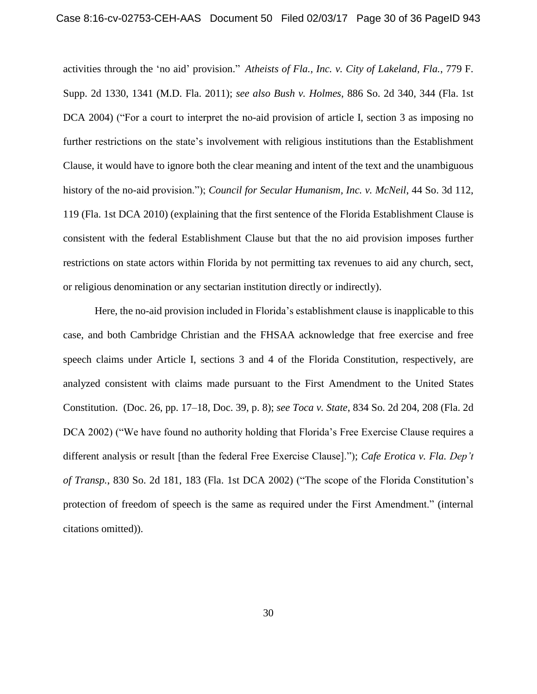activities through the 'no aid' provision." *Atheists of Fla., Inc. v. City of Lakeland, Fla.*, 779 F. Supp. 2d 1330, 1341 (M.D. Fla. 2011); *see also Bush v. Holmes*, 886 So. 2d 340, 344 (Fla. 1st DCA 2004) ("For a court to interpret the no-aid provision of article I, section 3 as imposing no further restrictions on the state's involvement with religious institutions than the Establishment Clause, it would have to ignore both the clear meaning and intent of the text and the unambiguous history of the no-aid provision."); *Council for Secular Humanism, Inc. v. McNeil*, 44 So. 3d 112, 119 (Fla. 1st DCA 2010) (explaining that the first sentence of the Florida Establishment Clause is consistent with the federal Establishment Clause but that the no aid provision imposes further restrictions on state actors within Florida by not permitting tax revenues to aid any church, sect, or religious denomination or any sectarian institution directly or indirectly).

Here, the no-aid provision included in Florida's establishment clause is inapplicable to this case, and both Cambridge Christian and the FHSAA acknowledge that free exercise and free speech claims under Article I, sections 3 and 4 of the Florida Constitution, respectively, are analyzed consistent with claims made pursuant to the First Amendment to the United States Constitution. (Doc. 26, pp. 17–18, Doc. 39, p. 8); *see Toca v. State*, 834 So. 2d 204, 208 (Fla. 2d DCA 2002) ("We have found no authority holding that Florida's Free Exercise Clause requires a different analysis or result [than the federal Free Exercise Clause]."); *Cafe Erotica v. Fla. Dep't of Transp.*, 830 So. 2d 181, 183 (Fla. 1st DCA 2002) ("The scope of the Florida Constitution's protection of freedom of speech is the same as required under the First Amendment." (internal citations omitted)).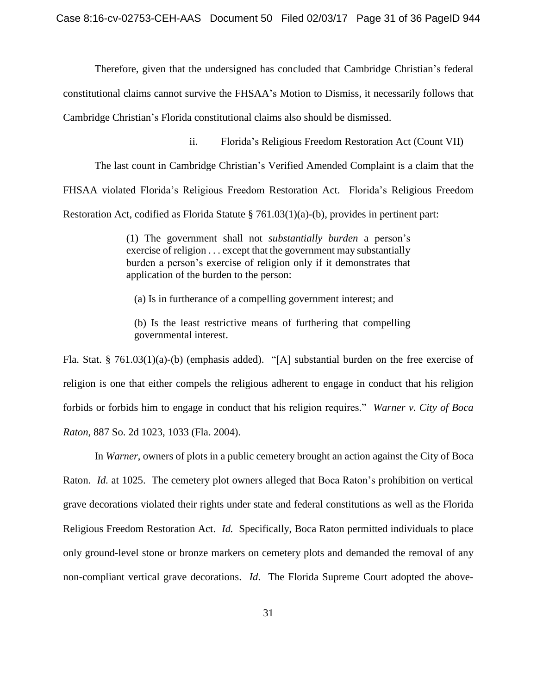Therefore, given that the undersigned has concluded that Cambridge Christian's federal

constitutional claims cannot survive the FHSAA's Motion to Dismiss, it necessarily follows that

Cambridge Christian's Florida constitutional claims also should be dismissed.

ii. Florida's Religious Freedom Restoration Act (Count VII)

The last count in Cambridge Christian's Verified Amended Complaint is a claim that the

FHSAA violated Florida's Religious Freedom Restoration Act. Florida's Religious Freedom

Restoration Act, codified as Florida Statute § 761.03(1)(a)-(b), provides in pertinent part:

(1) The government shall not *substantially burden* a person's exercise of religion . . . except that the government may substantially burden a person's exercise of religion only if it demonstrates that application of the burden to the person:

(a) Is in furtherance of a compelling government interest; and

(b) Is the least restrictive means of furthering that compelling governmental interest.

Fla. Stat. § 761.03(1)(a)-(b) (emphasis added). "[A] substantial burden on the free exercise of religion is one that either compels the religious adherent to engage in conduct that his religion forbids or forbids him to engage in conduct that his religion requires." *Warner v. City of Boca Raton*, 887 So. 2d 1023, 1033 (Fla. 2004).

In *Warner*, owners of plots in a public cemetery brought an action against the City of Boca Raton. *Id.* at 1025. The cemetery plot owners alleged that Boca Raton's prohibition on vertical grave decorations violated their rights under state and federal constitutions as well as the Florida Religious Freedom Restoration Act. *Id.* Specifically, Boca Raton permitted individuals to place only ground-level stone or bronze markers on cemetery plots and demanded the removal of any non-compliant vertical grave decorations. *Id*. The Florida Supreme Court adopted the above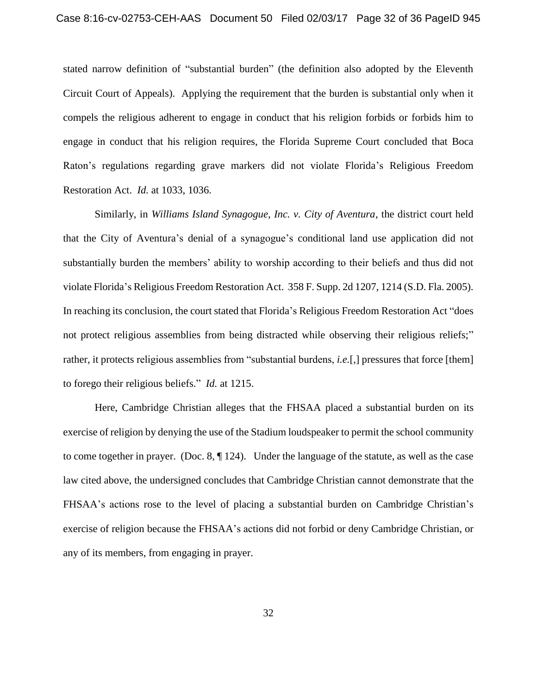stated narrow definition of "substantial burden" (the definition also adopted by the Eleventh Circuit Court of Appeals). Applying the requirement that the burden is substantial only when it compels the religious adherent to engage in conduct that his religion forbids or forbids him to engage in conduct that his religion requires, the Florida Supreme Court concluded that Boca Raton's regulations regarding grave markers did not violate Florida's Religious Freedom Restoration Act. *Id.* at 1033, 1036.

Similarly, in *Williams Island Synagogue, Inc. v. City of Aventura*, the district court held that the City of Aventura's denial of a synagogue's conditional land use application did not substantially burden the members' ability to worship according to their beliefs and thus did not violate Florida's Religious Freedom Restoration Act. 358 F. Supp. 2d 1207, 1214 (S.D. Fla. 2005). In reaching its conclusion, the court stated that Florida's Religious Freedom Restoration Act "does not protect religious assemblies from being distracted while observing their religious reliefs;" rather, it protects religious assemblies from "substantial burdens, *i.e.*[,] pressures that force [them] to forego their religious beliefs." *Id.* at 1215.

Here, Cambridge Christian alleges that the FHSAA placed a substantial burden on its exercise of religion by denying the use of the Stadium loudspeaker to permit the school community to come together in prayer. (Doc. 8, ¶ 124). Under the language of the statute, as well as the case law cited above, the undersigned concludes that Cambridge Christian cannot demonstrate that the FHSAA's actions rose to the level of placing a substantial burden on Cambridge Christian's exercise of religion because the FHSAA's actions did not forbid or deny Cambridge Christian, or any of its members, from engaging in prayer.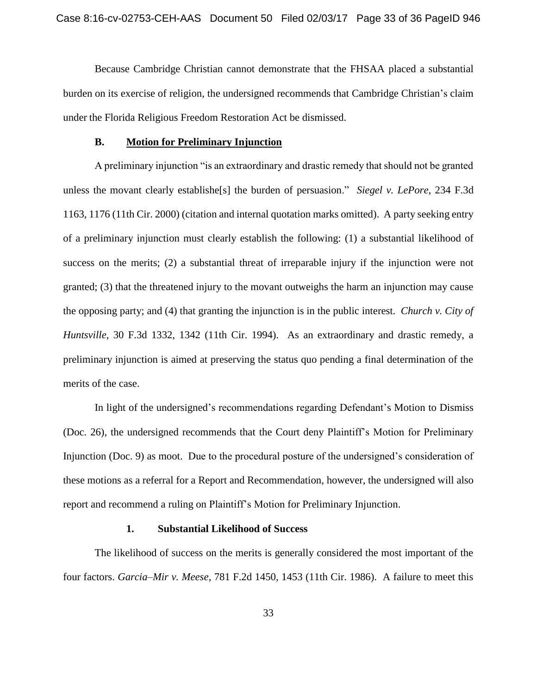Because Cambridge Christian cannot demonstrate that the FHSAA placed a substantial burden on its exercise of religion, the undersigned recommends that Cambridge Christian's claim under the Florida Religious Freedom Restoration Act be dismissed.

#### **B. Motion for Preliminary Injunction**

A preliminary injunction "is an extraordinary and drastic remedy that should not be granted unless the movant clearly establishe[s] the burden of persuasion." *Siegel v. LePore*, 234 F.3d 1163, 1176 (11th Cir. 2000) (citation and internal quotation marks omitted). A party seeking entry of a preliminary injunction must clearly establish the following: (1) a substantial likelihood of success on the merits; (2) a substantial threat of irreparable injury if the injunction were not granted; (3) that the threatened injury to the movant outweighs the harm an injunction may cause the opposing party; and (4) that granting the injunction is in the public interest. *Church v. City of Huntsville*, 30 F.3d 1332, 1342 (11th Cir. 1994). As an extraordinary and drastic remedy, a preliminary injunction is aimed at preserving the status quo pending a final determination of the merits of the case.

In light of the undersigned's recommendations regarding Defendant's Motion to Dismiss (Doc. 26), the undersigned recommends that the Court deny Plaintiff's Motion for Preliminary Injunction (Doc. 9) as moot. Due to the procedural posture of the undersigned's consideration of these motions as a referral for a Report and Recommendation, however, the undersigned will also report and recommend a ruling on Plaintiff's Motion for Preliminary Injunction.

### **1. Substantial Likelihood of Success**

The likelihood of success on the merits is generally considered the most important of the four factors. *Garcia–Mir v. Meese*, 781 F.2d 1450, 1453 (11th Cir. 1986). A failure to meet this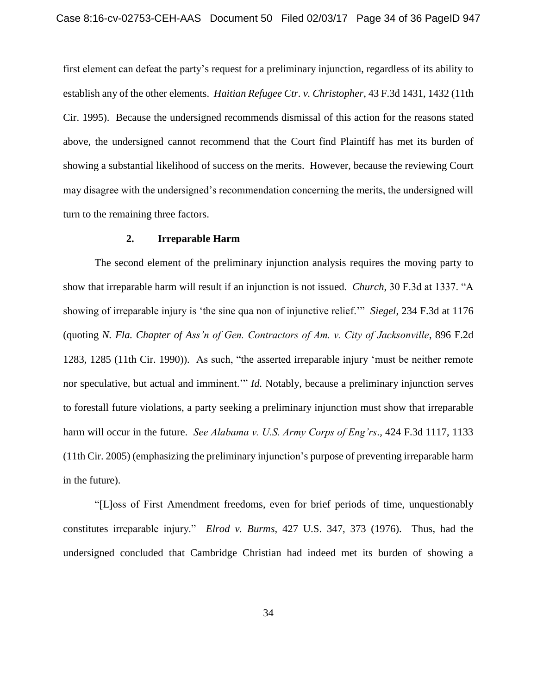first element can defeat the party's request for a preliminary injunction, regardless of its ability to establish any of the other elements. *Haitian Refugee Ctr. v. Christopher*, 43 F.3d 1431, 1432 (11th Cir. 1995). Because the undersigned recommends dismissal of this action for the reasons stated above, the undersigned cannot recommend that the Court find Plaintiff has met its burden of showing a substantial likelihood of success on the merits. However, because the reviewing Court may disagree with the undersigned's recommendation concerning the merits, the undersigned will turn to the remaining three factors.

#### **2. Irreparable Harm**

The second element of the preliminary injunction analysis requires the moving party to show that irreparable harm will result if an injunction is not issued. *Church*, 30 F.3d at 1337. "A showing of irreparable injury is 'the sine qua non of injunctive relief.'" *Siegel*, 234 F.3d at 1176 (quoting *N. Fla. Chapter of Ass'n of Gen. Contractors of Am. v. City of Jacksonville*, 896 F.2d 1283, 1285 (11th Cir. 1990)). As such, "the asserted irreparable injury 'must be neither remote nor speculative, but actual and imminent.'" *Id.* Notably, because a preliminary injunction serves to forestall future violations, a party seeking a preliminary injunction must show that irreparable harm will occur in the future. *See Alabama v. U.S. Army Corps of Eng'rs*.*,* 424 F.3d 1117, 1133 (11th Cir. 2005) (emphasizing the preliminary injunction's purpose of preventing irreparable harm in the future).

"[L]oss of First Amendment freedoms, even for brief periods of time, unquestionably constitutes irreparable injury." *Elrod v. Burms*, 427 U.S. 347, 373 (1976). Thus, had the undersigned concluded that Cambridge Christian had indeed met its burden of showing a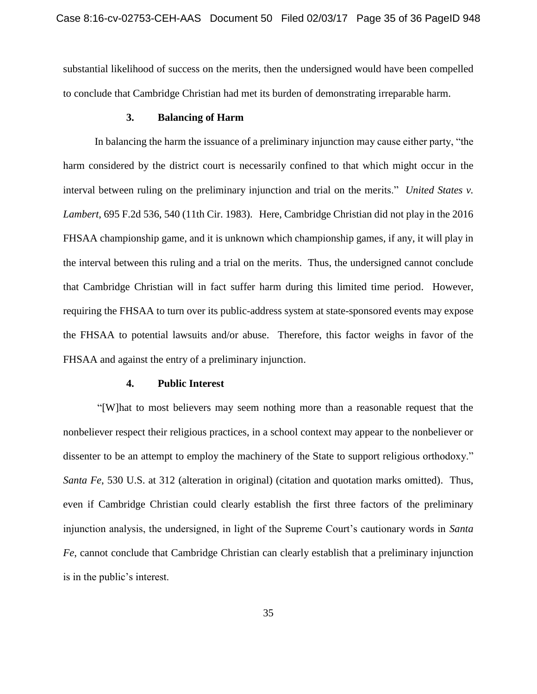substantial likelihood of success on the merits, then the undersigned would have been compelled to conclude that Cambridge Christian had met its burden of demonstrating irreparable harm.

### **3. Balancing of Harm**

In balancing the harm the issuance of a preliminary injunction may cause either party, "the harm considered by the district court is necessarily confined to that which might occur in the interval between ruling on the preliminary injunction and trial on the merits." *United States v. Lambert*, 695 F.2d 536, 540 (11th Cir. 1983). Here, Cambridge Christian did not play in the 2016 FHSAA championship game, and it is unknown which championship games, if any, it will play in the interval between this ruling and a trial on the merits. Thus, the undersigned cannot conclude that Cambridge Christian will in fact suffer harm during this limited time period. However, requiring the FHSAA to turn over its public-address system at state-sponsored events may expose the FHSAA to potential lawsuits and/or abuse. Therefore, this factor weighs in favor of the FHSAA and against the entry of a preliminary injunction.

#### **4. Public Interest**

"[W]hat to most believers may seem nothing more than a reasonable request that the nonbeliever respect their religious practices, in a school context may appear to the nonbeliever or dissenter to be an attempt to employ the machinery of the State to support religious orthodoxy." *Santa Fe*, 530 U.S. at 312 (alteration in original) (citation and quotation marks omitted). Thus, even if Cambridge Christian could clearly establish the first three factors of the preliminary injunction analysis, the undersigned, in light of the Supreme Court's cautionary words in *Santa Fe*, cannot conclude that Cambridge Christian can clearly establish that a preliminary injunction is in the public's interest.